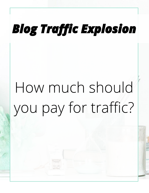## **Blog Traffic Explosion**

# How much should you pay for traffic?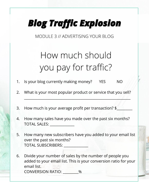### **Blog Traffic Explosion**

MODULE 3 // ADVERTISING YOUR BLOG

#### How much should you pay for traffic?

- 1. Is your blog currently making money? YES NO
- 2. What is your most popular product or service that you sell?

\_\_\_\_\_\_\_\_\_\_\_\_\_\_\_\_\_\_\_\_\_\_\_\_\_\_\_\_\_\_\_\_\_\_\_\_\_\_\_\_\_\_\_\_\_\_\_\_\_\_\_\_\_\_\_\_\_\_\_\_\_

- 3. How much is your average profit per transaction? \$
- 4. How many sales have you made over the past six months? TOTAL SALES:
- 5. How many new subscribers have you added to your email list over the past six months? TOTAL SUBSCRIBERS:
- 6. Divide your number of sales by the number of people you added to your email list. This is your conversion ratio for your email list. CONVERSION RATIO: \_\_\_\_\_\_\_\_\_%